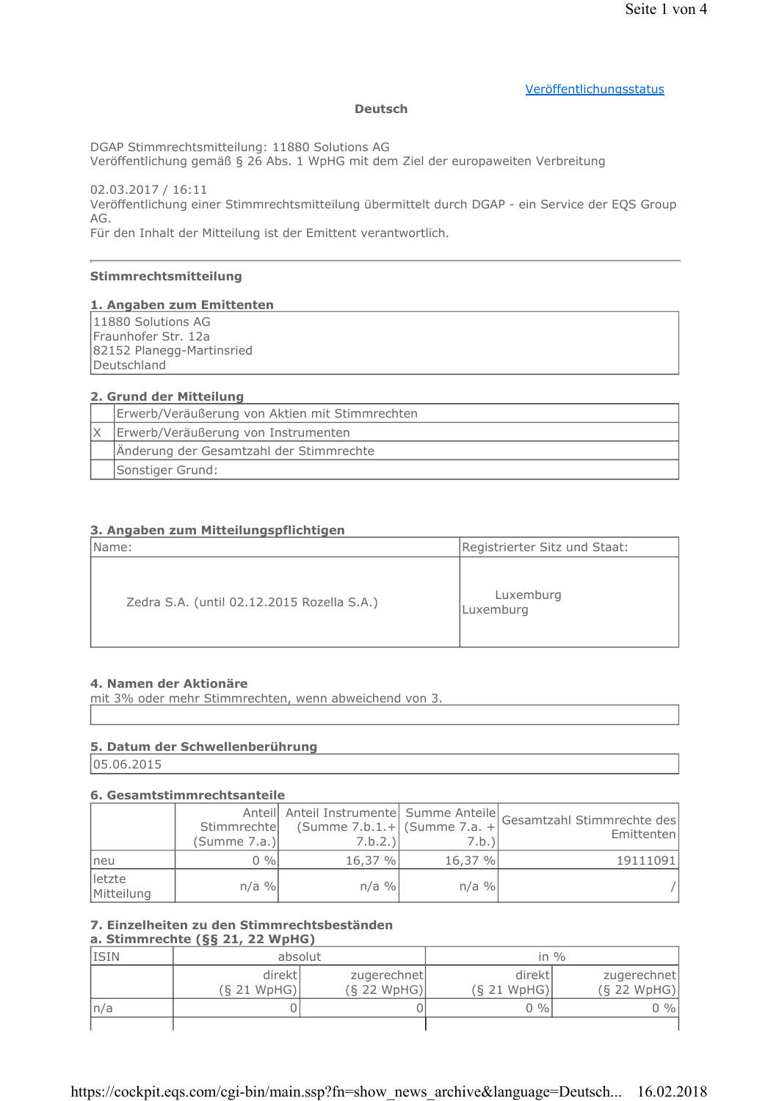### Veröffentlichungsstatus

#### **Deutsch**

DGAP Stimmrechtsmitteilung: 11880 Solutions AG

Veröffentlichung gemäß § 26 Abs. 1 WpHG mit dem Ziel der europaweiten Verbreitung

02.03.2017 / 16:11 Veröffentlichung einer Stimmrechtsmitteilung übermittelt durch DGAP - ein Service der EQS Group AG.

Für den Inhalt der Mitteilung ist der Emittent verantwortlich.

# Stimmrechtsmitteilung

#### 1. Angaben zum Emittenten

11880 Solutions AG Fraunhofer Str. 12a 82152 Planegg-Martinsried Deutschland

#### 2. Grund der Mitteilung

| Erwerb/Veräußerung von Aktien mit Stimmrechten |  |
|------------------------------------------------|--|
| Erwerb/Veräußerung von Instrumenten            |  |
| Änderung der Gesamtzahl der Stimmrechte        |  |
| Sonstiger Grund:                               |  |

### 3. Angaben zum Mitteilungspflichtigen

| Name:                                      | Registrierter Sitz und Staat: |
|--------------------------------------------|-------------------------------|
| Zedra S.A. (until 02.12.2015 Rozella S.A.) | Luxemburg<br>Luxemburg        |

#### 4. Namen der Aktionäre

mit 3% oder mehr Stimmrechten, wenn abweichend von 3.

# 5. Datum der Schwellenberührung

05.06.2015

#### 6. Gesamtstimmrechtsanteile

|                      | Stimmrechte<br>(Summe 7.a.) | (Summe $7.b.1.+$ (Summe $7.a. +$<br>7.b.2.) | 7.b.)   | Anteil Anteil Instrumente Summe Anteile Gesamtzahl Stimmrechte des<br>Emittenten |
|----------------------|-----------------------------|---------------------------------------------|---------|----------------------------------------------------------------------------------|
| neu                  | $0\%$                       | 16,37%                                      | 16,37 % | 19111091                                                                         |
| letzte<br>Mitteilung | $n/a$ %                     | $n/a$ %                                     | $n/a$ % |                                                                                  |

# 7. Einzelheiten zu den Stimmrechtsbeständen

a. Stimmrechte  $(S\S 21, 22 WpHG)$ 

| <b>ISIN</b> | $\sim$ $-$<br>absolut |                              |                       | in $\%$                      |
|-------------|-----------------------|------------------------------|-----------------------|------------------------------|
|             | direkt<br>(S 21 WpHG) | zugerechnet<br>$(S$ 22 WpHG) | direkt<br>(S 21 WpHG) | zugerechnet<br>$(S$ 22 WpHG) |
| ln/a        |                       |                              | $0\%$                 | $0\%$                        |
|             |                       |                              |                       |                              |

https://cockpit.eqs.com/cgi-bin/main.ssp?fn=show\_news\_archive&language=Deutsch... 16.02.2018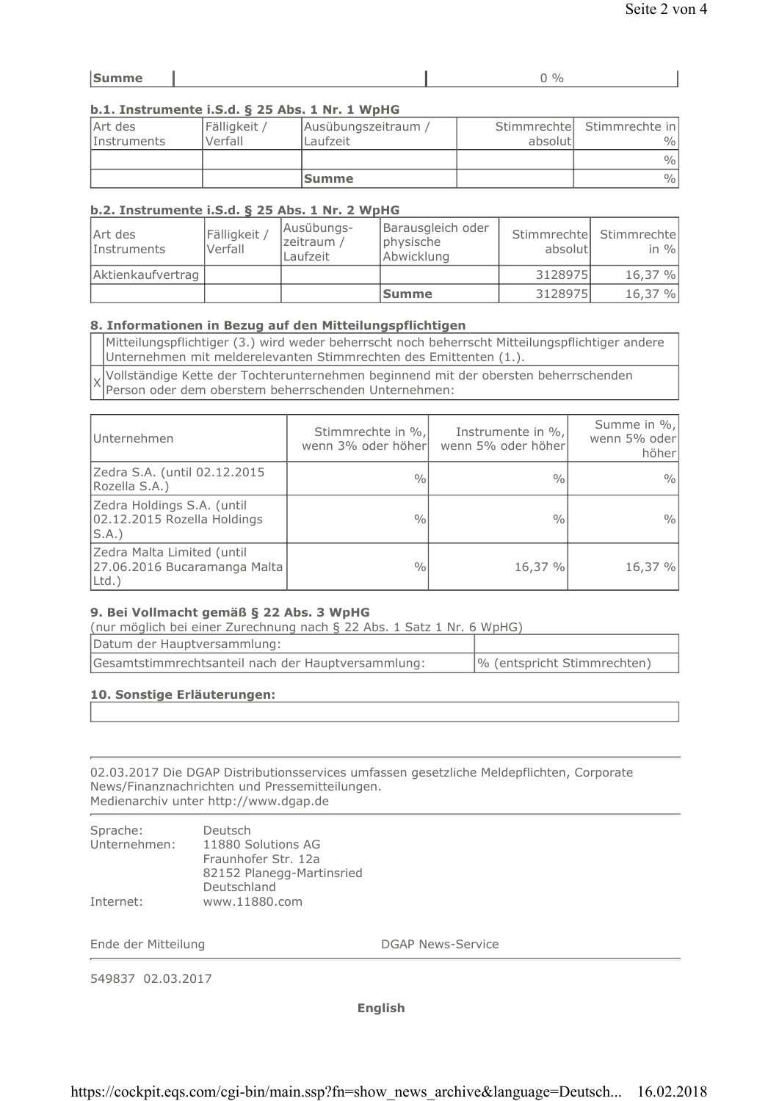# b.1. Instrumente i.S.d. § 25 Abs. 1 Nr. 1 WpHG

| Art des<br><i>Instruments</i> | Fälligkeit /<br>Verfall | Ausübungszeitraum /<br>Laufzeit | absolutl | Stimmrechte Stimmrechte in<br>$\frac{0}{0}$ |
|-------------------------------|-------------------------|---------------------------------|----------|---------------------------------------------|
|                               |                         |                                 |          | $\frac{0}{0}$                               |
|                               |                         | <b>Summe</b>                    |          | $\frac{0}{0}$                               |

# b.2. Instrumente i.S.d. § 25 Abs. 1 Nr. 2 WpHG

| Art des<br><i>Instruments</i> | Fälligkeit<br>Verfall | Ausübungs-<br>zeitraum /<br>Laufzeit | Barausgleich oder<br>physische<br>Abwicklung | absolutl | Stimmrechte Stimmrechte<br>in $\%$ |
|-------------------------------|-----------------------|--------------------------------------|----------------------------------------------|----------|------------------------------------|
| Aktienkaufvertrag             |                       |                                      |                                              | 3128975  | 16,37 %                            |
|                               |                       |                                      | <b>Summe</b>                                 | 3128975  | 16,37 %                            |

### 8. Informationen in Bezug auf den Mitteilungspflichtigen

Mitteilungspflichtiger (3.) wird weder beherrscht noch beherrscht Mitteilungspflichtiger andere Unternehmen mit melderelevanten Stimmrechten des Emittenten (1.).

Vollständige Kette der Tochterunternehmen beginnend mit der obersten beherrschenden Person oder dem oberstem beherrschenden Unternehmen:

| Unternehmen                                                            | Stimmrechte in %,<br>wenn 3% oder höher | Instrumente in %,<br>wenn 5% oder höher | Summe in %,<br>wenn 5% oder<br>höher |
|------------------------------------------------------------------------|-----------------------------------------|-----------------------------------------|--------------------------------------|
| Zedra S.A. (until 02.12.2015<br>Rozella S.A.)                          | $\frac{0}{0}$                           | $\frac{0}{0}$                           | $\frac{0}{0}$                        |
| Zedra Holdings S.A. (until<br>02.12.2015 Rozella Holdings<br>S.A.      | $\frac{0}{0}$                           | $\frac{0}{0}$                           | $\frac{0}{0}$                        |
| Zedra Malta Limited (until<br>27.06.2016 Bucaramanga Malta<br>$Ltd.$ ) | $\frac{0}{0}$                           | 16,37 %                                 | 16,37 %                              |

# 9. Bei Vollmacht gemäß § 22 Abs. 3 WpHG

(nur möglich bei einer Zurechnung nach § 22 Abs. 1 Satz 1 Nr. 6 WpHG)

| Datum der Hauptversammlung:                        |                             |
|----------------------------------------------------|-----------------------------|
| Gesamtstimmrechtsanteil nach der Hauptversammlung: | % (entspricht Stimmrechten) |

# 10. Sonstige Erläuterungen:

 $\lambda$ 

02.03.2017 Die DGAP Distributionsservices umfassen gesetzliche Meldepflichten, Corporate News/Finanznachrichten und Pressemitteilungen. Medienarchiv unter http://www.dgap.de

| Sprache:     | Deutsch                   |
|--------------|---------------------------|
| Unternehmen: | 11880 Solutions AG        |
|              | Fraunhofer Str. 12a       |
|              | 82152 Planegg-Martinsried |
|              | Deutschland               |
| Internet:    | www.11880.com             |

Ende der Mitteilung

**DGAP News-Service** 

549837 02.03.2017

**English**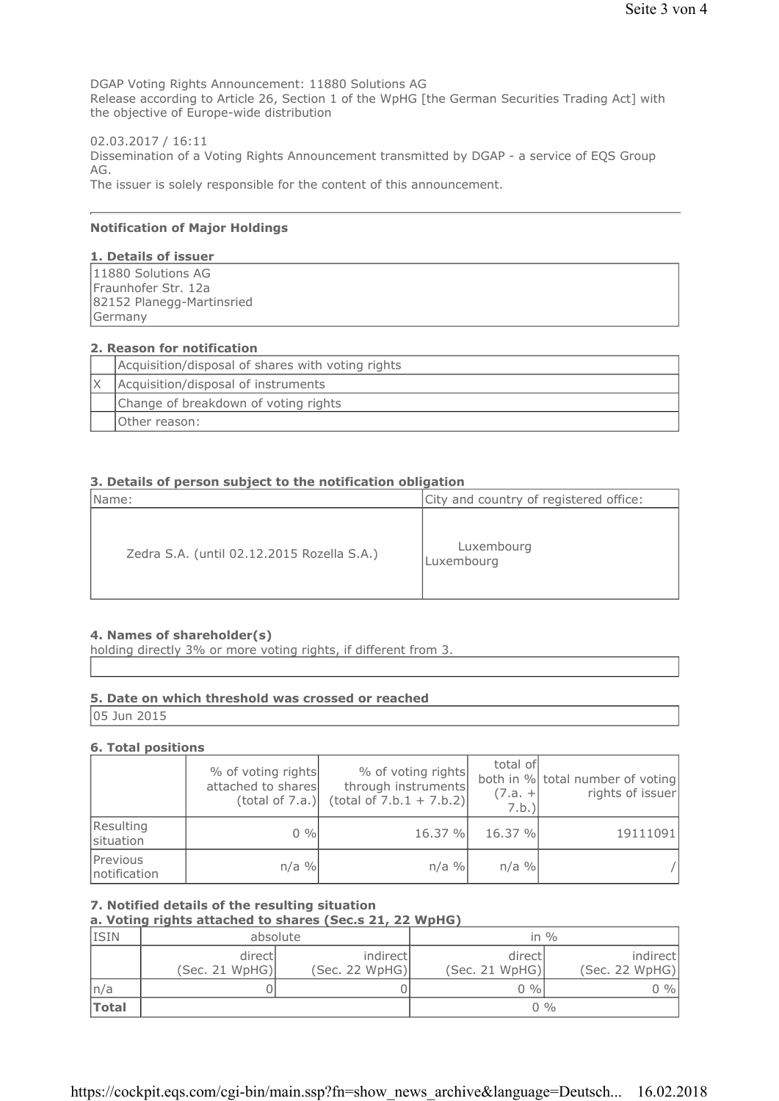DGAP Voting Rights Announcement: 11880 Solutions AG Release according to Article 26, Section 1 of the WpHG [the German Securities Trading Act] with the objective of Europe-wide distribution

02.03.2017 / 16:11 Dissemination of a Voting Rights Announcement transmitted by DGAP - a service of EQS Group AG. The issuer is solely responsible for the content of this announcement.

### **Notification of Major Holdings**

#### 1. Details of issuer

11880 Solutions AG Fraunhofer Str. 12a 82152 Planegg-Martinsried Germany

#### 2. Reason for notification

| Acquisition/disposal of shares with voting rights |  |
|---------------------------------------------------|--|
| Acquisition/disposal of instruments               |  |
| Change of breakdown of voting rights              |  |
| Other reason:                                     |  |

#### 3. Details of person subject to the notification obligation

| Name:                                      | City and country of registered office: |
|--------------------------------------------|----------------------------------------|
| Zedra S.A. (until 02.12.2015 Rozella S.A.) | Luxembourg<br>Luxembourg               |

#### 4. Names of shareholder(s)

holding directly 3% or more voting rights, if different from 3.

# 5. Date on which threshold was crossed or reached

05 Jun 2015

#### **6. Total positions**

|                          | % of voting rights<br>attached to shares<br>(total of 7.a.) | % of voting rights<br>through instruments<br>$(total of 7.b.1 + 7.b.2)$ | total of<br>$(7.a. +$<br>7.b.) | both in % total number of voting<br>rights of issuer |
|--------------------------|-------------------------------------------------------------|-------------------------------------------------------------------------|--------------------------------|------------------------------------------------------|
| Resulting<br>situation   | $0\%$                                                       | 16.37 %                                                                 | 16.37 %                        | 19111091                                             |
| Previous<br>notification | $n/a$ %                                                     | $n/a$ %                                                                 | $n/a$ %                        |                                                      |

#### 7. Notified details of the resulting situation

# a. Voting rights attached to shares (Sec.s 21, 22 WpHG)

| <b>ISIN</b>  | absolute                  |                             | in $\%$                   |                            |
|--------------|---------------------------|-----------------------------|---------------------------|----------------------------|
|              | directl<br>(Sec. 21 WpHG) | indirectl<br>(Sec. 22 WpHG) | directl<br>(Sec. 21 WpHG) | indirect<br>(Sec. 22 WpHG) |
| n/a          |                           |                             | $0\%$                     | 0 %                        |
| <b>Total</b> |                           |                             | $0\%$                     |                            |